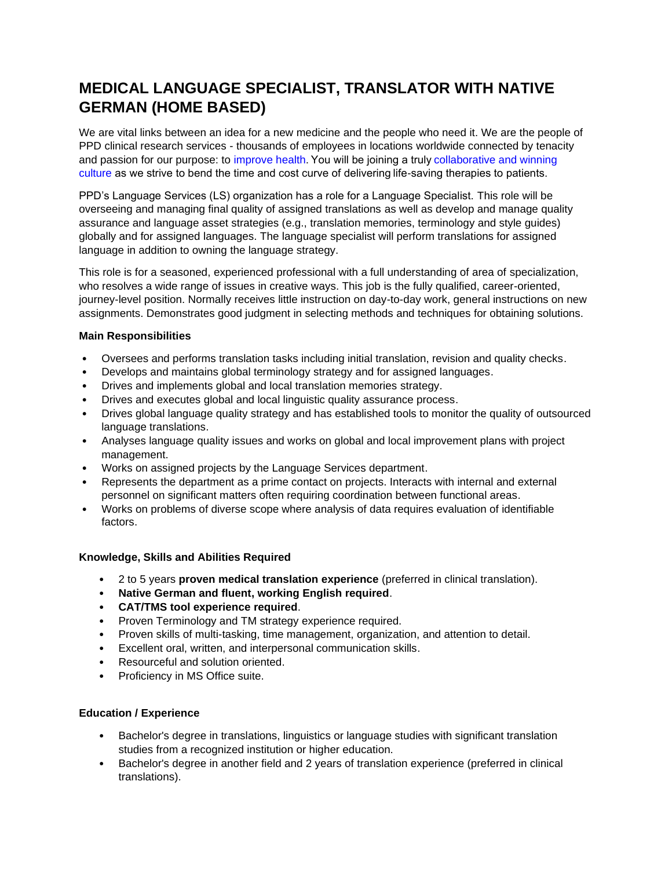# **MEDICAL LANGUAGE SPECIALIST, TRANSLATOR WITH NATIVE GERMAN (HOME BASED)**

We are vital links between an idea for a new medicine and the people who need it. We are the people of PPD clinical research services - thousands of employees in locations worldwide connected by tenacity and passion for our purpose: to [improve health.](https://www.ppdi.com/about/purpose-mission-strategy) You will be joining a trul[y collaborative and winning](https://www.ppdi.com/careers/about/culture)  [culture](https://www.ppdi.com/careers/about/culture) as we strive to bend the time and cost curve of delivering life-saving therapies to patients.  

PPD's Language Services (LS) organization has a role for a Language Specialist. This role will be overseeing and managing final quality of assigned translations as well as develop and manage quality assurance and language asset strategies (e.g., translation memories, terminology and style guides) globally and for assigned languages. The language specialist will perform translations for assigned language in addition to owning the language strategy.

This role is for a seasoned, experienced professional with a full understanding of area of specialization, who resolves a wide range of issues in creative ways. This job is the fully qualified, career-oriented, journey-level position. Normally receives little instruction on day-to-day work, general instructions on new assignments. Demonstrates good judgment in selecting methods and techniques for obtaining solutions.

## **Main Responsibilities**

- Oversees and performs translation tasks including initial translation, revision and quality checks.
- Develops and maintains global terminology strategy and for assigned languages.
- Drives and implements global and local translation memories strategy.
- Drives and executes global and local linguistic quality assurance process.
- Drives global language quality strategy and has established tools to monitor the quality of outsourced language translations.
- Analyses language quality issues and works on global and local improvement plans with project management.
- Works on assigned projects by the Language Services department.
- Represents the department as a prime contact on projects. Interacts with internal and external personnel on significant matters often requiring coordination between functional areas.
- Works on problems of diverse scope where analysis of data requires evaluation of identifiable factors.

#### **Knowledge, Skills and Abilities Required**

- 2 to 5 years **proven medical translation experience** (preferred in clinical translation).
- **Native German and fluent, working English required**.
- **CAT/TMS tool experience required**.
- Proven Terminology and TM strategy experience required.
- Proven skills of multi-tasking, time management, organization, and attention to detail.
- Excellent oral, written, and interpersonal communication skills.
- Resourceful and solution oriented.
- Proficiency in MS Office suite.

# **Education / Experience**

- Bachelor's degree in translations, linguistics or language studies with significant translation studies from a recognized institution or higher education.
- Bachelor's degree in another field and 2 years of translation experience (preferred in clinical translations).